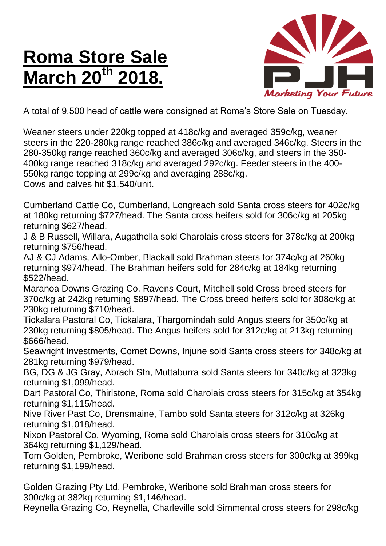## **Roma Store Sale March 20<sup>th</sup>**



A total of 9,500 head of cattle were consigned at Roma's Store Sale on Tuesday.

Weaner steers under 220kg topped at 418c/kg and averaged 359c/kg, weaner steers in the 220-280kg range reached 386c/kg and averaged 346c/kg. Steers in the 280-350kg range reached 360c/kg and averaged 306c/kg, and steers in the 350- 400kg range reached 318c/kg and averaged 292c/kg. Feeder steers in the 400- 550kg range topping at 299c/kg and averaging 288c/kg. Cows and calves hit \$1,540/unit.

Cumberland Cattle Co, Cumberland, Longreach sold Santa cross steers for 402c/kg at 180kg returning \$727/head. The Santa cross heifers sold for 306c/kg at 205kg returning \$627/head.

J & B Russell, Willara, Augathella sold Charolais cross steers for 378c/kg at 200kg returning \$756/head.

AJ & CJ Adams, Allo-Omber, Blackall sold Brahman steers for 374c/kg at 260kg returning \$974/head. The Brahman heifers sold for 284c/kg at 184kg returning \$522/head.

Maranoa Downs Grazing Co, Ravens Court, Mitchell sold Cross breed steers for 370c/kg at 242kg returning \$897/head. The Cross breed heifers sold for 308c/kg at 230kg returning \$710/head.

Tickalara Pastoral Co, Tickalara, Thargomindah sold Angus steers for 350c/kg at 230kg returning \$805/head. The Angus heifers sold for 312c/kg at 213kg returning \$666/head.

Seawright Investments, Comet Downs, Injune sold Santa cross steers for 348c/kg at 281kg returning \$979/head.

BG, DG & JG Gray, Abrach Stn, Muttaburra sold Santa steers for 340c/kg at 323kg returning \$1,099/head.

Dart Pastoral Co, Thirlstone, Roma sold Charolais cross steers for 315c/kg at 354kg returning \$1,115/head.

Nive River Past Co, Drensmaine, Tambo sold Santa steers for 312c/kg at 326kg returning \$1,018/head.

Nixon Pastoral Co, Wyoming, Roma sold Charolais cross steers for 310c/kg at 364kg returning \$1,129/head.

Tom Golden, Pembroke, Weribone sold Brahman cross steers for 300c/kg at 399kg returning \$1,199/head.

Golden Grazing Pty Ltd, Pembroke, Weribone sold Brahman cross steers for 300c/kg at 382kg returning \$1,146/head.

Reynella Grazing Co, Reynella, Charleville sold Simmental cross steers for 298c/kg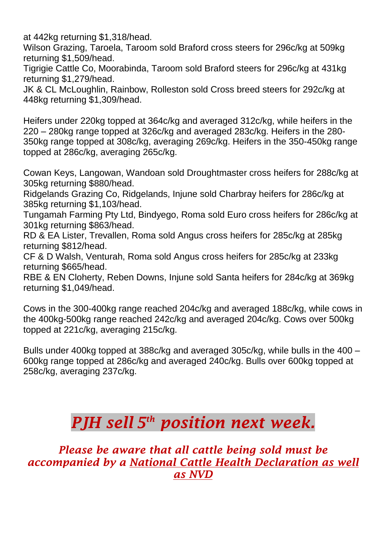at 442kg returning \$1,318/head.

Wilson Grazing, Taroela, Taroom sold Braford cross steers for 296c/kg at 509kg returning \$1,509/head.

Tigrigie Cattle Co, Moorabinda, Taroom sold Braford steers for 296c/kg at 431kg returning \$1,279/head.

JK & CL McLoughlin, Rainbow, Rolleston sold Cross breed steers for 292c/kg at 448kg returning \$1,309/head.

Heifers under 220kg topped at 364c/kg and averaged 312c/kg, while heifers in the 220 – 280kg range topped at 326c/kg and averaged 283c/kg. Heifers in the 280- 350kg range topped at 308c/kg, averaging 269c/kg. Heifers in the 350-450kg range topped at 286c/kg, averaging 265c/kg.

Cowan Keys, Langowan, Wandoan sold Droughtmaster cross heifers for 288c/kg at 305kg returning \$880/head.

Ridgelands Grazing Co, Ridgelands, Injune sold Charbray heifers for 286c/kg at 385kg returning \$1,103/head.

Tungamah Farming Pty Ltd, Bindyego, Roma sold Euro cross heifers for 286c/kg at 301kg returning \$863/head.

RD & EA Lister, Trevallen, Roma sold Angus cross heifers for 285c/kg at 285kg returning \$812/head.

CF & D Walsh, Venturah, Roma sold Angus cross heifers for 285c/kg at 233kg returning \$665/head.

RBE & EN Cloherty, Reben Downs, Injune sold Santa heifers for 284c/kg at 369kg returning \$1,049/head.

Cows in the 300-400kg range reached 204c/kg and averaged 188c/kg, while cows in the 400kg-500kg range reached 242c/kg and averaged 204c/kg. Cows over 500kg topped at 221c/kg, averaging 215c/kg.

Bulls under 400kg topped at 388c/kg and averaged 305c/kg, while bulls in the 400 – 600kg range topped at 286c/kg and averaged 240c/kg. Bulls over 600kg topped at 258c/kg, averaging 237c/kg.

## *PJH sell 5 th position next week.*

*Please be aware that all cattle being sold must be accompanied by a National Cattle Health Declaration as well as NVD*